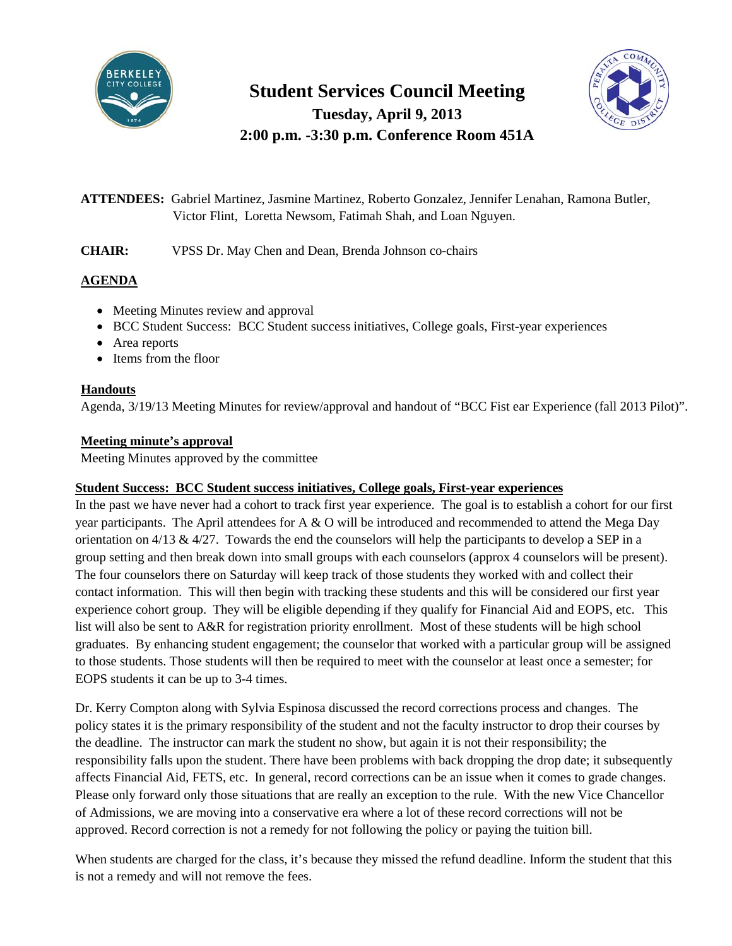

# **Student Services Council Meeting Tuesday, April 9, 2013**

**2:00 p.m. -3:30 p.m. Conference Room 451A**



**ATTENDEES:** Gabriel Martinez, Jasmine Martinez, Roberto Gonzalez, Jennifer Lenahan, Ramona Butler, Victor Flint, Loretta Newsom, Fatimah Shah, and Loan Nguyen.

**CHAIR:** VPSS Dr. May Chen and Dean, Brenda Johnson co-chairs

# **AGENDA**

- Meeting Minutes review and approval
- BCC Student Success: BCC Student success initiatives, College goals, First-year experiences
- Area reports
- Items from the floor

### **Handouts**

Agenda, 3/19/13 Meeting Minutes for review/approval and handout of "BCC Fist ear Experience (fall 2013 Pilot)".

## **Meeting minute's approval**

Meeting Minutes approved by the committee

### **Student Success: BCC Student success initiatives, College goals, First-year experiences**

In the past we have never had a cohort to track first year experience. The goal is to establish a cohort for our first year participants. The April attendees for A & O will be introduced and recommended to attend the Mega Day orientation on  $4/13 \& 4/27$ . Towards the end the counselors will help the participants to develop a SEP in a group setting and then break down into small groups with each counselors (approx 4 counselors will be present). The four counselors there on Saturday will keep track of those students they worked with and collect their contact information. This will then begin with tracking these students and this will be considered our first year experience cohort group. They will be eligible depending if they qualify for Financial Aid and EOPS, etc. This list will also be sent to A&R for registration priority enrollment. Most of these students will be high school graduates. By enhancing student engagement; the counselor that worked with a particular group will be assigned to those students. Those students will then be required to meet with the counselor at least once a semester; for EOPS students it can be up to 3-4 times.

Dr. Kerry Compton along with Sylvia Espinosa discussed the record corrections process and changes. The policy states it is the primary responsibility of the student and not the faculty instructor to drop their courses by the deadline. The instructor can mark the student no show, but again it is not their responsibility; the responsibility falls upon the student. There have been problems with back dropping the drop date; it subsequently affects Financial Aid, FETS, etc. In general, record corrections can be an issue when it comes to grade changes. Please only forward only those situations that are really an exception to the rule. With the new Vice Chancellor of Admissions, we are moving into a conservative era where a lot of these record corrections will not be approved. Record correction is not a remedy for not following the policy or paying the tuition bill.

When students are charged for the class, it's because they missed the refund deadline. Inform the student that this is not a remedy and will not remove the fees.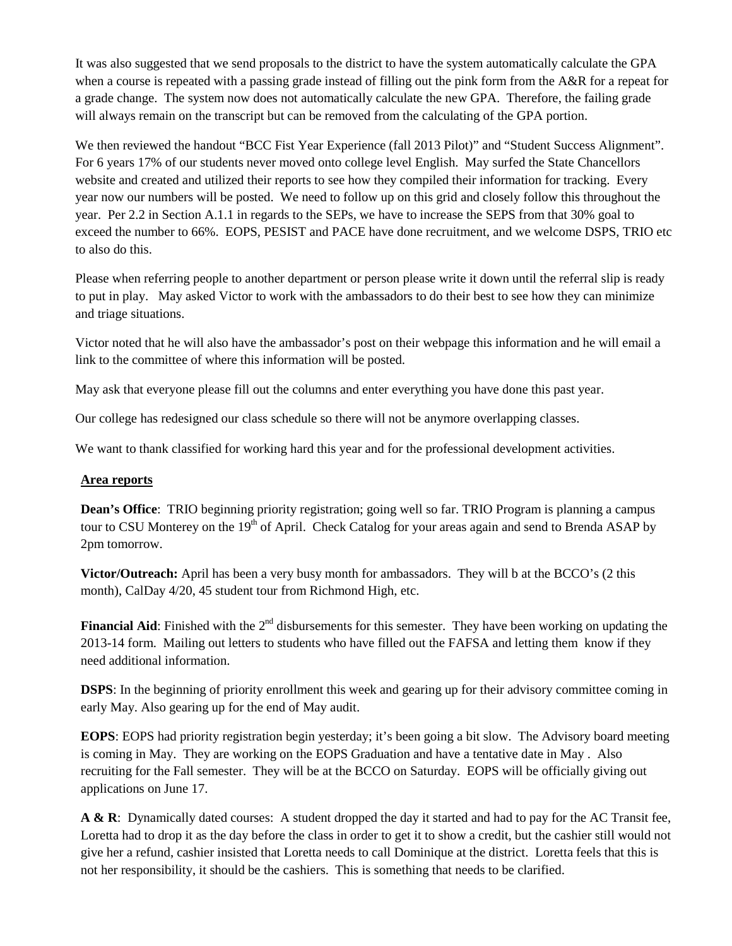It was also suggested that we send proposals to the district to have the system automatically calculate the GPA when a course is repeated with a passing grade instead of filling out the pink form from the A&R for a repeat for a grade change. The system now does not automatically calculate the new GPA. Therefore, the failing grade will always remain on the transcript but can be removed from the calculating of the GPA portion.

We then reviewed the handout "BCC Fist Year Experience (fall 2013 Pilot)" and "Student Success Alignment". For 6 years 17% of our students never moved onto college level English. May surfed the State Chancellors website and created and utilized their reports to see how they compiled their information for tracking. Every year now our numbers will be posted. We need to follow up on this grid and closely follow this throughout the year. Per 2.2 in Section A.1.1 in regards to the SEPs, we have to increase the SEPS from that 30% goal to exceed the number to 66%. EOPS, PESIST and PACE have done recruitment, and we welcome DSPS, TRIO etc to also do this.

Please when referring people to another department or person please write it down until the referral slip is ready to put in play. May asked Victor to work with the ambassadors to do their best to see how they can minimize and triage situations.

Victor noted that he will also have the ambassador's post on their webpage this information and he will email a link to the committee of where this information will be posted.

May ask that everyone please fill out the columns and enter everything you have done this past year.

Our college has redesigned our class schedule so there will not be anymore overlapping classes.

We want to thank classified for working hard this year and for the professional development activities.

#### **Area reports**

**Dean's Office**: TRIO beginning priority registration; going well so far. TRIO Program is planning a campus tour to CSU Monterey on the  $19<sup>th</sup>$  of April. Check Catalog for your areas again and send to Brenda ASAP by 2pm tomorrow.

**Victor/Outreach:** April has been a very busy month for ambassadors. They will b at the BCCO's (2 this month), CalDay 4/20, 45 student tour from Richmond High, etc.

**Financial Aid**: Finished with the 2<sup>nd</sup> disbursements for this semester. They have been working on updating the 2013-14 form. Mailing out letters to students who have filled out the FAFSA and letting them know if they need additional information.

**DSPS**: In the beginning of priority enrollment this week and gearing up for their advisory committee coming in early May. Also gearing up for the end of May audit.

**EOPS**: EOPS had priority registration begin yesterday; it's been going a bit slow. The Advisory board meeting is coming in May. They are working on the EOPS Graduation and have a tentative date in May . Also recruiting for the Fall semester. They will be at the BCCO on Saturday. EOPS will be officially giving out applications on June 17.

**A & R**: Dynamically dated courses: A student dropped the day it started and had to pay for the AC Transit fee, Loretta had to drop it as the day before the class in order to get it to show a credit, but the cashier still would not give her a refund, cashier insisted that Loretta needs to call Dominique at the district. Loretta feels that this is not her responsibility, it should be the cashiers. This is something that needs to be clarified.